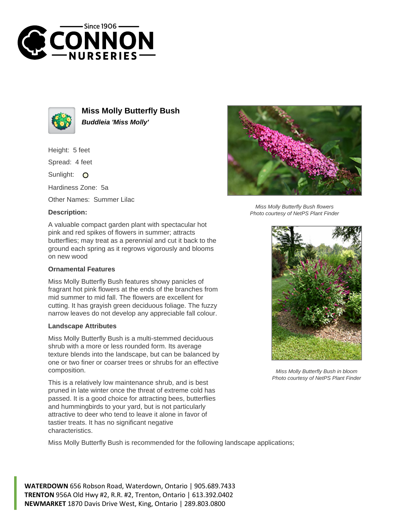



**Miss Molly Butterfly Bush Buddleia 'Miss Molly'**

Height: 5 feet

Spread: 4 feet

Sunlight: O

Hardiness Zone: 5a

Other Names: Summer Lilac

## **Description:**



## **Ornamental Features**

Miss Molly Butterfly Bush features showy panicles of fragrant hot pink flowers at the ends of the branches from mid summer to mid fall. The flowers are excellent for cutting. It has grayish green deciduous foliage. The fuzzy narrow leaves do not develop any appreciable fall colour.

## **Landscape Attributes**

Miss Molly Butterfly Bush is a multi-stemmed deciduous shrub with a more or less rounded form. Its average texture blends into the landscape, but can be balanced by one or two finer or coarser trees or shrubs for an effective composition.

This is a relatively low maintenance shrub, and is best pruned in late winter once the threat of extreme cold has passed. It is a good choice for attracting bees, butterflies and hummingbirds to your yard, but is not particularly attractive to deer who tend to leave it alone in favor of tastier treats. It has no significant negative characteristics.

Miss Molly Butterfly Bush is recommended for the following landscape applications;

**WATERDOWN** 656 Robson Road, Waterdown, Ontario | 905.689.7433 **TRENTON** 956A Old Hwy #2, R.R. #2, Trenton, Ontario | 613.392.0402 **NEWMARKET** 1870 Davis Drive West, King, Ontario | 289.803.0800



Miss Molly Butterfly Bush flowers Photo courtesy of NetPS Plant Finder



Miss Molly Butterfly Bush in bloom Photo courtesy of NetPS Plant Finder